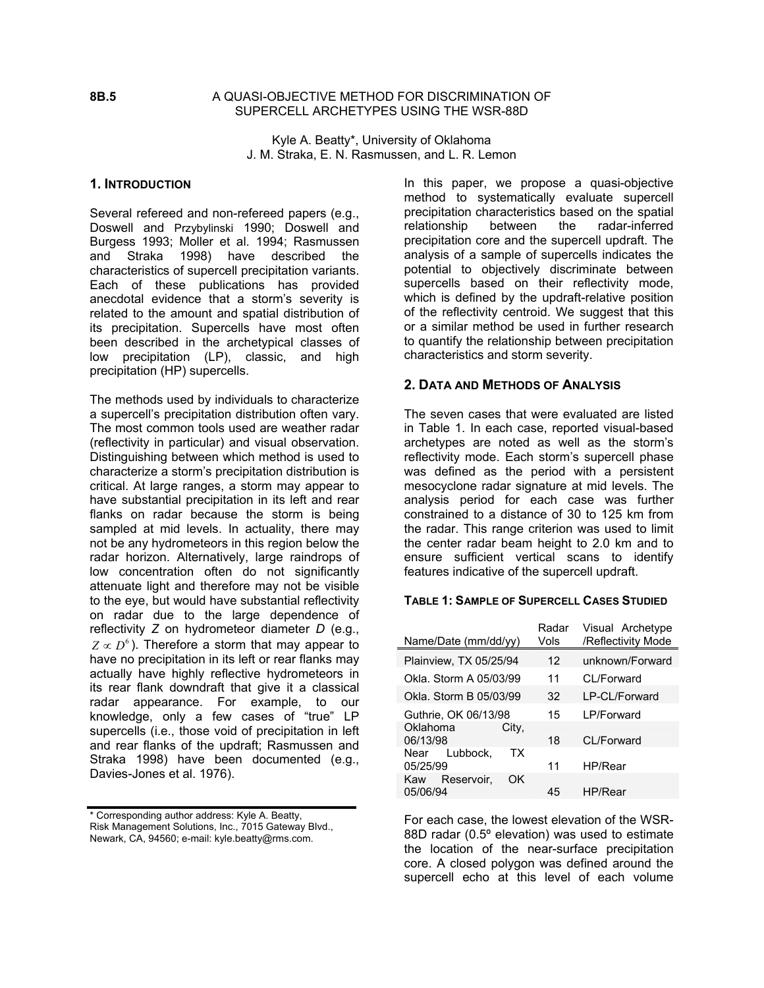## **8B.5** A QUASI-OBJECTIVE METHOD FOR DISCRIMINATION OF SUPERCELL ARCHETYPES USING THE WSR-88D

Kyle A. Beatty\*, University of Oklahoma J. M. Straka, E. N. Rasmussen, and L. R. Lemon

## **1. INTRODUCTION**

Several refereed and non-refereed papers (e.g., Doswell and Przybylinski 1990; Doswell and Burgess 1993; Moller et al. 1994; Rasmussen and Straka 1998) have described the characteristics of supercell precipitation variants. Each of these publications has provided anecdotal evidence that a storm's severity is related to the amount and spatial distribution of its precipitation. Supercells have most often been described in the archetypical classes of low precipitation (LP), classic, and high precipitation (HP) supercells.

The methods used by individuals to characterize a supercell's precipitation distribution often vary. The most common tools used are weather radar (reflectivity in particular) and visual observation. Distinguishing between which method is used to characterize a storm's precipitation distribution is critical. At large ranges, a storm may appear to have substantial precipitation in its left and rear flanks on radar because the storm is being sampled at mid levels. In actuality, there may not be any hydrometeors in this region below the radar horizon. Alternatively, large raindrops of low concentration often do not significantly attenuate light and therefore may not be visible to the eye, but would have substantial reflectivity on radar due to the large dependence of reflectivity *Z* on hydrometeor diameter *D* (e.g.,  $Z \propto D^6$ ). Therefore a storm that may appear to have no precipitation in its left or rear flanks may actually have highly reflective hydrometeors in its rear flank downdraft that give it a classical radar appearance. For example, to our knowledge, only a few cases of "true" LP supercells (i.e., those void of precipitation in left and rear flanks of the updraft; Rasmussen and Straka 1998) have been documented (e.g., Davies-Jones et al. 1976).

\* Corresponding author address: Kyle A. Beatty, Risk Management Solutions, Inc., 7015 Gateway Blvd., Newark, CA, 94560; e-mail: kyle.beatty@rms.com.

In this paper, we propose a quasi-objective method to systematically evaluate supercell precipitation characteristics based on the spatial relationship between the radar-inferred precipitation core and the supercell updraft. The analysis of a sample of supercells indicates the potential to objectively discriminate between supercells based on their reflectivity mode, which is defined by the updraft-relative position of the reflectivity centroid. We suggest that this or a similar method be used in further research to quantify the relationship between precipitation characteristics and storm severity.

### **2. DATA AND METHODS OF ANALYSIS**

The seven cases that were evaluated are listed in Table 1. In each case, reported visual-based archetypes are noted as well as the storm's reflectivity mode. Each storm's supercell phase was defined as the period with a persistent mesocyclone radar signature at mid levels. The analysis period for each case was further constrained to a distance of 30 to 125 km from the radar. This range criterion was used to limit the center radar beam height to 2.0 km and to ensure sufficient vertical scans to identify features indicative of the supercell updraft.

#### **TABLE 1: SAMPLE OF SUPERCELL CASES STUDIED**

| Name/Date (mm/dd/yy)                | Radar<br>Vols | Visual Archetype<br>/Reflectivity Mode |
|-------------------------------------|---------------|----------------------------------------|
| Plainview, TX 05/25/94              | 12            | unknown/Forward                        |
| Okla. Storm A 05/03/99              | 11            | CL/Forward                             |
| Okla. Storm B 05/03/99              | 32            | I P-CI /Forward                        |
| Guthrie, OK 06/13/98                | 15            | I P/Forward                            |
| Oklahoma<br>City,<br>06/13/98       | 18            | CI /Forward                            |
| Lubbock.<br>ТX<br>Near<br>05/25/99  | 11            | HP/Rear                                |
| Kaw<br>Reservoir,<br>OK<br>05/06/94 | 45            | HP/Rear                                |

For each case, the lowest elevation of the WSR-88D radar (0.5º elevation) was used to estimate the location of the near-surface precipitation core. A closed polygon was defined around the supercell echo at this level of each volume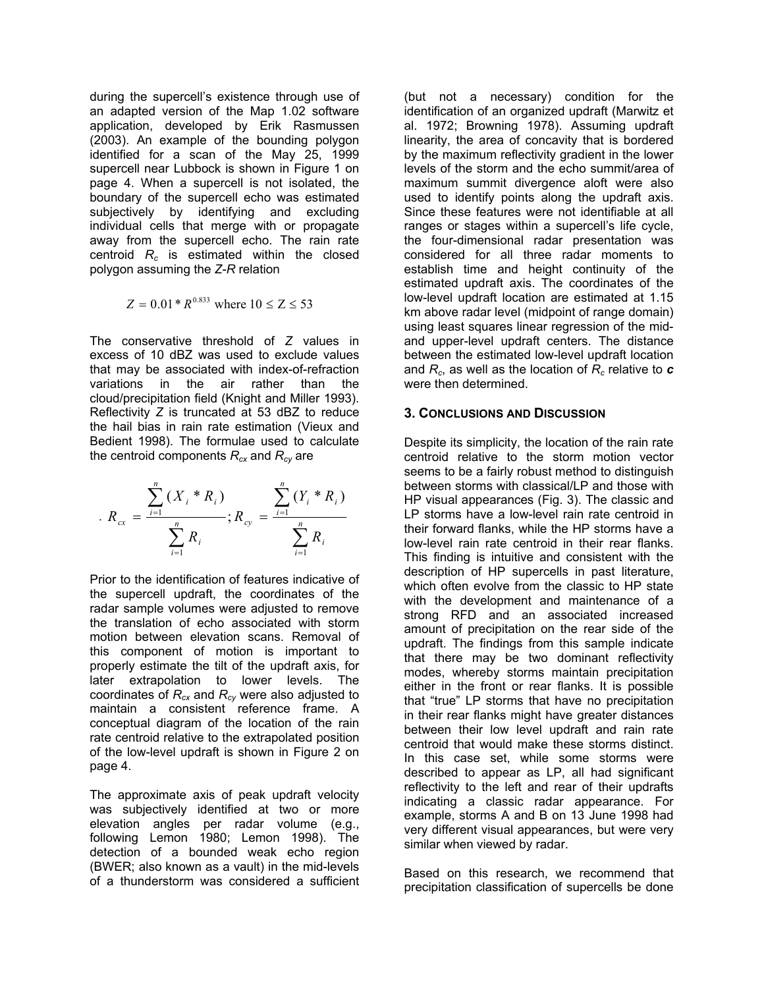during the supercell's existence through use of an adapted version of the Map 1.02 software application, developed by Erik Rasmussen (2003). An example of the bounding polygon identified for a scan of the May 25, 1999 supercell near Lubbock is shown in Figure 1 on page 4. When a supercell is not isolated, the boundary of the supercell echo was estimated subjectively by identifying and excluding individual cells that merge with or propagate away from the supercell echo. The rain rate centroid  $R_c$  is estimated within the closed polygon assuming the *Z*-*R* relation

$$
Z = 0.01 * R^{0.833}
$$
 where  $10 \le Z \le 53$ 

The conservative threshold of *Z* values in excess of 10 dBZ was used to exclude values that may be associated with index-of-refraction variations in the air rather than the cloud/precipitation field (Knight and Miller 1993). Reflectivity *Z* is truncated at 53 dBZ to reduce the hail bias in rain rate estimation (Vieux and Bedient 1998). The formulae used to calculate the centroid components  $R_{cx}$  and  $R_{cy}$  are

$$
R_{cx} = \frac{\sum_{i=1}^{n} (X_i * R_i)}{\sum_{i=1}^{n} R_i}; R_{cy} = \frac{\sum_{i=1}^{n} (Y_i * R_i)}{\sum_{i=1}^{n} R_i}
$$

Prior to the identification of features indicative of the supercell updraft, the coordinates of the radar sample volumes were adjusted to remove the translation of echo associated with storm motion between elevation scans. Removal of this component of motion is important to properly estimate the tilt of the updraft axis, for later extrapolation to lower levels. The coordinates of *Rcx* and *Rcy* were also adjusted to maintain a consistent reference frame. A conceptual diagram of the location of the rain rate centroid relative to the extrapolated position of the low-level updraft is shown in Figure 2 on page 4.

The approximate axis of peak updraft velocity was subjectively identified at two or more elevation angles per radar volume (e.g., following Lemon 1980; Lemon 1998). The detection of a bounded weak echo region (BWER; also known as a vault) in the mid-levels of a thunderstorm was considered a sufficient

(but not a necessary) condition for the identification of an organized updraft (Marwitz et al. 1972; Browning 1978). Assuming updraft linearity, the area of concavity that is bordered by the maximum reflectivity gradient in the lower levels of the storm and the echo summit/area of maximum summit divergence aloft were also used to identify points along the updraft axis. Since these features were not identifiable at all ranges or stages within a supercell's life cycle, the four-dimensional radar presentation was considered for all three radar moments to establish time and height continuity of the estimated updraft axis. The coordinates of the low-level updraft location are estimated at 1.15 km above radar level (midpoint of range domain) using least squares linear regression of the midand upper-level updraft centers. The distance between the estimated low-level updraft location and *Rc*, as well as the location of *Rc* relative to *c* were then determined.

## **3. CONCLUSIONS AND DISCUSSION**

Despite its simplicity, the location of the rain rate centroid relative to the storm motion vector seems to be a fairly robust method to distinguish between storms with classical/LP and those with HP visual appearances (Fig. 3). The classic and LP storms have a low-level rain rate centroid in their forward flanks, while the HP storms have a low-level rain rate centroid in their rear flanks. This finding is intuitive and consistent with the description of HP supercells in past literature, which often evolve from the classic to HP state with the development and maintenance of a strong RFD and an associated increased amount of precipitation on the rear side of the updraft. The findings from this sample indicate that there may be two dominant reflectivity modes, whereby storms maintain precipitation either in the front or rear flanks. It is possible that "true" LP storms that have no precipitation in their rear flanks might have greater distances between their low level updraft and rain rate centroid that would make these storms distinct. In this case set, while some storms were described to appear as LP, all had significant reflectivity to the left and rear of their updrafts indicating a classic radar appearance. For example, storms A and B on 13 June 1998 had very different visual appearances, but were very similar when viewed by radar.

Based on this research, we recommend that precipitation classification of supercells be done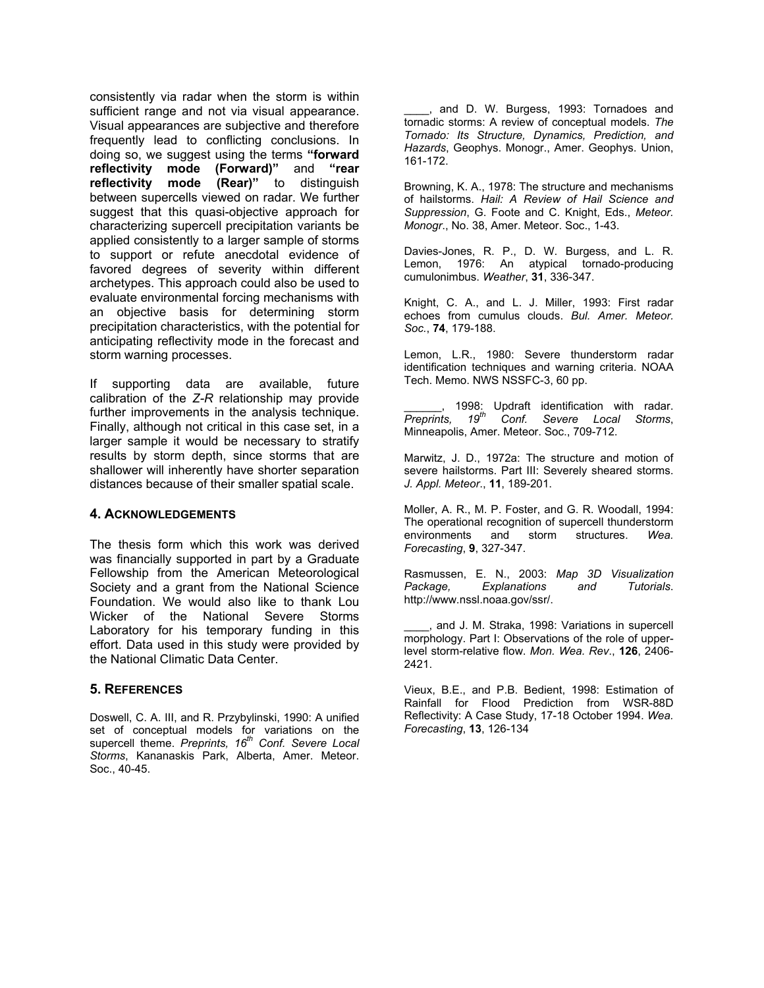consistently via radar when the storm is within sufficient range and not via visual appearance. Visual appearances are subjective and therefore frequently lead to conflicting conclusions. In doing so, we suggest using the terms **"forward reflectivity mode (Forward)"** and **"rear reflectivity mode (Rear)"** to distinguish between supercells viewed on radar. We further suggest that this quasi-objective approach for characterizing supercell precipitation variants be applied consistently to a larger sample of storms to support or refute anecdotal evidence of favored degrees of severity within different archetypes. This approach could also be used to evaluate environmental forcing mechanisms with an objective basis for determining storm precipitation characteristics, with the potential for anticipating reflectivity mode in the forecast and storm warning processes.

If supporting data are available, future calibration of the *Z-R* relationship may provide further improvements in the analysis technique. Finally, although not critical in this case set, in a larger sample it would be necessary to stratify results by storm depth, since storms that are shallower will inherently have shorter separation distances because of their smaller spatial scale.

## **4. ACKNOWLEDGEMENTS**

The thesis form which this work was derived was financially supported in part by a Graduate Fellowship from the American Meteorological Society and a grant from the National Science Foundation. We would also like to thank Lou Wicker of the National Severe Storms Laboratory for his temporary funding in this effort. Data used in this study were provided by the National Climatic Data Center.

# **5. REFERENCES**

Doswell, C. A. III, and R. Przybylinski, 1990: A unified set of conceptual models for variations on the supercell theme. Preprints, 16<sup>th</sup> Conf. Severe Local *Storms*, Kananaskis Park, Alberta, Amer. Meteor. Soc., 40-45.

\_\_\_\_, and D. W. Burgess, 1993: Tornadoes and tornadic storms: A review of conceptual models. *The Tornado: Its Structure, Dynamics, Prediction, and Hazards*, Geophys. Monogr., Amer. Geophys. Union, 161-172.

Browning, K. A., 1978: The structure and mechanisms of hailstorms. *Hail: A Review of Hail Science and Suppression*, G. Foote and C. Knight, Eds., *Meteor. Monogr*., No. 38, Amer. Meteor. Soc., 1-43.

Davies-Jones, R. P., D. W. Burgess, and L. R. Lemon, 1976: An atypical tornado-producing cumulonimbus. *Weather*, **31**, 336-347.

Knight, C. A., and L. J. Miller, 1993: First radar echoes from cumulus clouds. *Bul. Amer. Meteor. Soc.*, **74**, 179-188.

Lemon, L.R., 1980: Severe thunderstorm radar identification techniques and warning criteria. NOAA Tech. Memo. NWS NSSFC-3, 60 pp.

**Example 2018:** Updraft identification with radar. *Preprints, 19th Conf. Severe Local Storms*, Minneapolis, Amer. Meteor. Soc., 709-712.

Marwitz, J. D., 1972a: The structure and motion of severe hailstorms. Part III: Severely sheared storms. *J. Appl. Meteor*., **11**, 189-201.

Moller, A. R., M. P. Foster, and G. R. Woodall, 1994: The operational recognition of supercell thunderstorm<br>environments and storm structures. Wea. storm structures. Wea. *Forecasting*, **9**, 327-347.

Rasmussen, E. N., 2003: *Map 3D Visualization Package, Explanations and Tutorials*. http://www.nssl.noaa.gov/ssr/.

\_\_\_\_, and J. M. Straka, 1998: Variations in supercell morphology. Part I: Observations of the role of upperlevel storm-relative flow. *Mon. Wea. Rev*., **126**, 2406- 2421.

Vieux, B.E., and P.B. Bedient, 1998: Estimation of Rainfall for Flood Prediction from WSR-88D Reflectivity: A Case Study, 17-18 October 1994. *Wea. Forecasting*, **13**, 126-134